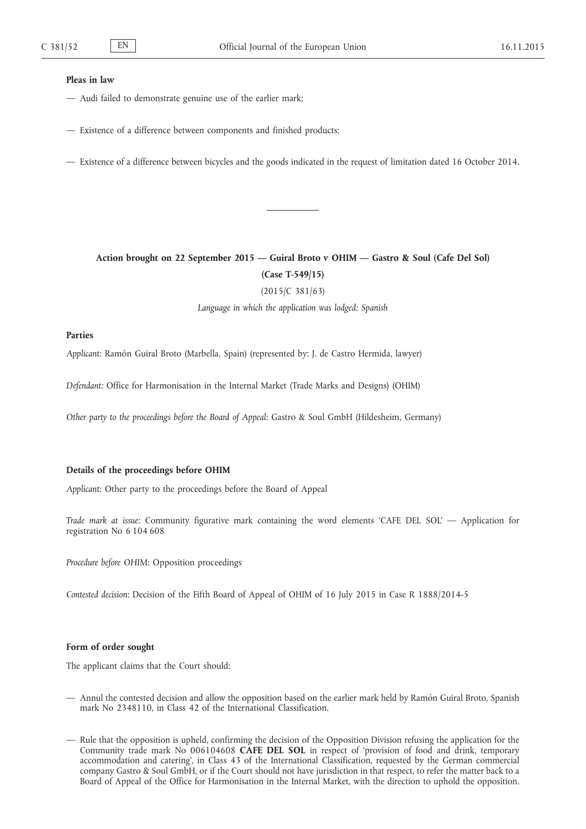### **Pleas in law**

- Audi failed to demonstrate genuine use of the earlier mark;
- Existence of a difference between components and finished products;
- Existence of a difference between bicycles and the goods indicated in the request of limitation dated 16 October 2014.

**Action brought on 22 September 2015 — Guiral Broto v OHIM — Gastro & Soul (Cafe Del Sol) (Case T-549/15)**

(2015/C 381/63)

*Language in which the application was lodged: Spanish*

### **Parties**

*Applicant:* Ramón Guiral Broto (Marbella, Spain) (represented by: J. de Castro Hermida, lawyer)

*Defendant:* Office for Harmonisation in the Internal Market (Trade Marks and Designs) (OHIM)

*Other party to the proceedings before the Board of Appeal:* Gastro & Soul GmbH (Hildesheim, Germany)

# **Details of the proceedings before OHIM**

*Applicant:* Other party to the proceedings before the Board of Appeal

*Trade mark at issue:* Community figurative mark containing the word elements 'CAFE DEL SOL' — Application for registration No 6 104 608

*Procedure before OHIM*: Opposition proceedings

*Contested decision*: Decision of the Fifth Board of Appeal of OHIM of 16 July 2015 in Case R 1888/2014-5

## **Form of order sought**

The applicant claims that the Court should:

- Annul the contested decision and allow the opposition based on the earlier mark held by Ramón Guiral Broto, Spanish mark No 2348110, in Class 42 of the International Classification.
- Rule that the opposition is upheld, confirming the decision of the Opposition Division refusing the application for the Community trade mark No 006104608 **CAFE DEL SOL** in respect of 'provision of food and drink, temporary accommodation and catering', in Class 43 of the International Classification, requested by the German commercial company Gastro & Soul GmbH, or if the Court should not have jurisdiction in that respect, to refer the matter back to a Board of Appeal of the Office for Harmonisation in the Internal Market, with the direction to uphold the opposition.